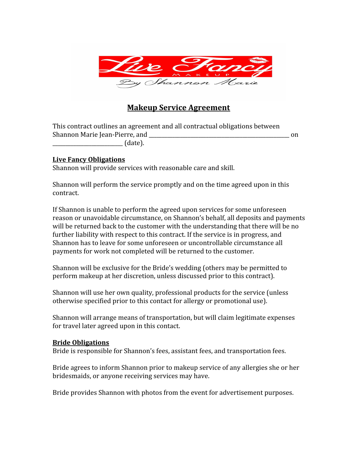

# **Makeup Service Agreement**

This contract outlines an agreement and all contractual obligations between Shannon Marie Jean-Pierre, and **Example 2018** on the state of the state on the state on the state on the state on the state on the state on the state on the state on the state on the state on the state on the state on the  $_1$  (date).

#### **Live Fancy Obligations**

Shannon will provide services with reasonable care and skill.

Shannon will perform the service promptly and on the time agreed upon in this contract.

If Shannon is unable to perform the agreed upon services for some unforeseen reason or unavoidable circumstance, on Shannon's behalf, all deposits and payments will be returned back to the customer with the understanding that there will be no further liability with respect to this contract. If the service is in progress, and Shannon has to leave for some unforeseen or uncontrollable circumstance all payments for work not completed will be returned to the customer.

Shannon will be exclusive for the Bride's wedding (others may be permitted to perform makeup at her discretion, unless discussed prior to this contract).

Shannon will use her own quality, professional products for the service (unless otherwise specified prior to this contact for allergy or promotional use).

Shannon will arrange means of transportation, but will claim legitimate expenses for travel later agreed upon in this contact.

#### **Bride Obligations**

Bride is responsible for Shannon's fees, assistant fees, and transportation fees.

Bride agrees to inform Shannon prior to makeup service of any allergies she or her bridesmaids, or anyone receiving services may have.

Bride provides Shannon with photos from the event for advertisement purposes.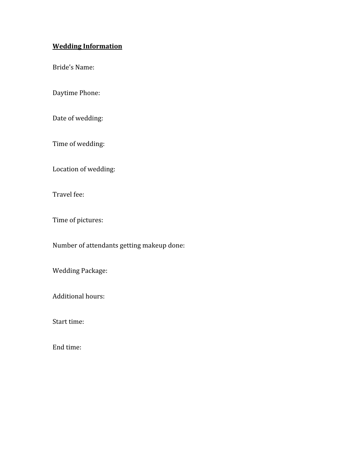# **Wedding Information**

Bride's Name:

Daytime Phone:

Date of wedding:

Time of wedding:

Location of wedding:

Travel fee:

Time of pictures:

Number of attendants getting makeup done:

Wedding Package:

Additional hours:

Start time:

End time: